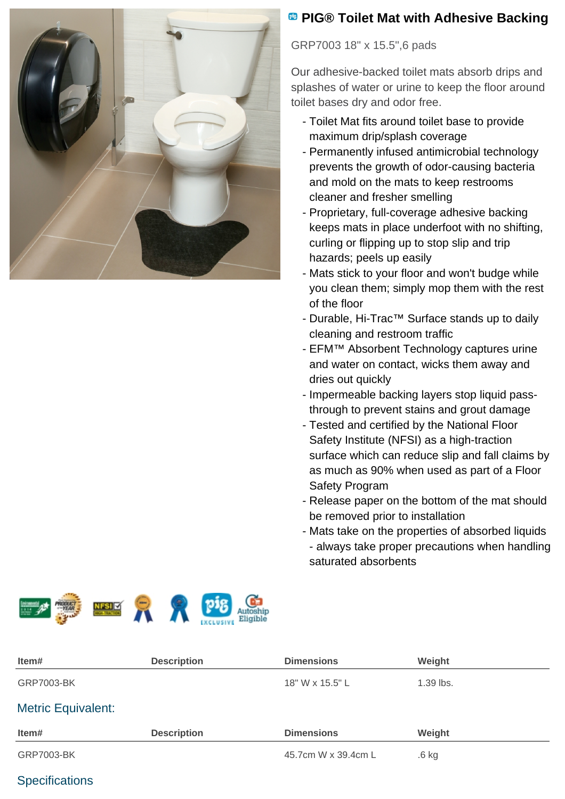

## **<sup><b>B</sup>** PIG® Toilet Mat with Adhesive Backing</sup>

GRP7003 18" x 15.5",6 pads

Our adhesive-backed toilet mats absorb drips and splashes of water or urine to keep the floor around toilet bases dry and odor free.

- Toilet Mat fits around toilet base to provide maximum drip/splash coverage
- Permanently infused antimicrobial technology prevents the growth of odor-causing bacteria and mold on the mats to keep restrooms cleaner and fresher smelling
- Proprietary, full-coverage adhesive backing keeps mats in place underfoot with no shifting, curling or flipping up to stop slip and trip hazards; peels up easily
- Mats stick to your floor and won't budge while you clean them; simply mop them with the rest of the floor
- Durable, Hi-Trac™ Surface stands up to daily cleaning and restroom traffic
- EFM™ Absorbent Technology captures urine and water on contact, wicks them away and dries out quickly
- Impermeable backing layers stop liquid passthrough to prevent stains and grout damage
- Tested and certified by the National Floor Safety Institute (NFSI) as a high-traction surface which can reduce slip and fall claims by as much as 90% when used as part of a Floor Safety Program
- Release paper on the bottom of the mat should be removed prior to installation
- Mats take on the properties of absorbed liquids - always take proper precautions when handling saturated absorbents



| Item#                     | <b>Description</b> | <b>Dimensions</b>   | Weight    |
|---------------------------|--------------------|---------------------|-----------|
| <b>GRP7003-BK</b>         |                    | 18" W x 15.5" L     | 1.39 lbs. |
| <b>Metric Equivalent:</b> |                    |                     |           |
| Item#                     | <b>Description</b> | <b>Dimensions</b>   | Weight    |
| <b>GRP7003-BK</b>         |                    | 45.7cm W x 39.4cm L | $.6$ kg   |

## **Specifications**